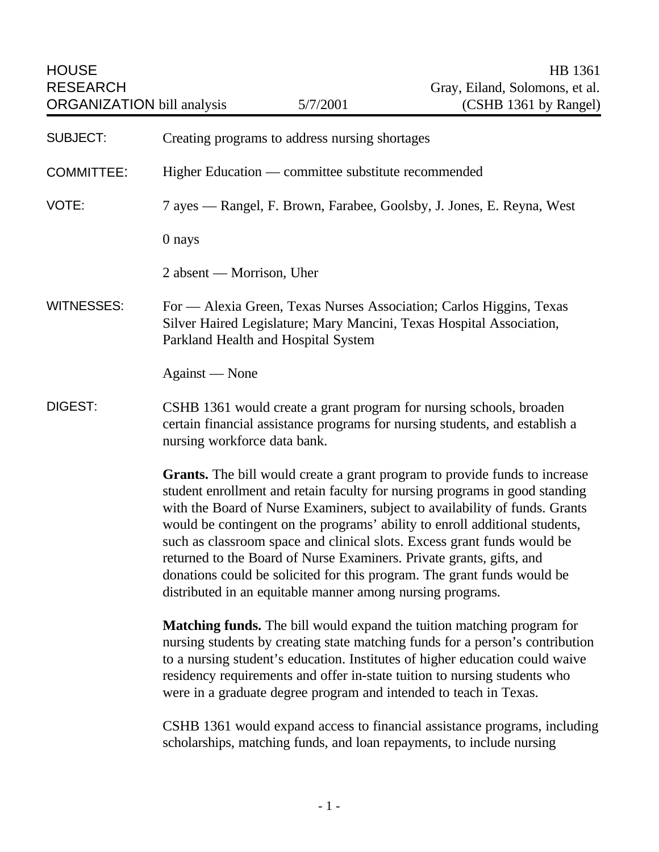| <b>HOUSE</b><br><b>RESEARCH</b><br><b>ORGANIZATION</b> bill analysis                                                                                                                          | 5/7/2001                                                                                                                           | HB 1361<br>Gray, Eiland, Solomons, et al.<br>(CSHB 1361 by Rangel)                                                                                                                                                                                                                                                                                                                                                                                                                   |
|-----------------------------------------------------------------------------------------------------------------------------------------------------------------------------------------------|------------------------------------------------------------------------------------------------------------------------------------|--------------------------------------------------------------------------------------------------------------------------------------------------------------------------------------------------------------------------------------------------------------------------------------------------------------------------------------------------------------------------------------------------------------------------------------------------------------------------------------|
| <b>SUBJECT:</b>                                                                                                                                                                               | Creating programs to address nursing shortages                                                                                     |                                                                                                                                                                                                                                                                                                                                                                                                                                                                                      |
| <b>COMMITTEE:</b>                                                                                                                                                                             | Higher Education — committee substitute recommended                                                                                |                                                                                                                                                                                                                                                                                                                                                                                                                                                                                      |
| VOTE:                                                                                                                                                                                         | 7 ayes — Rangel, F. Brown, Farabee, Goolsby, J. Jones, E. Reyna, West                                                              |                                                                                                                                                                                                                                                                                                                                                                                                                                                                                      |
|                                                                                                                                                                                               | 0 nays                                                                                                                             |                                                                                                                                                                                                                                                                                                                                                                                                                                                                                      |
|                                                                                                                                                                                               | 2 absent — Morrison, Uher                                                                                                          |                                                                                                                                                                                                                                                                                                                                                                                                                                                                                      |
| <b>WITNESSES:</b>                                                                                                                                                                             | Parkland Health and Hospital System                                                                                                | For — Alexia Green, Texas Nurses Association; Carlos Higgins, Texas<br>Silver Haired Legislature; Mary Mancini, Texas Hospital Association,                                                                                                                                                                                                                                                                                                                                          |
| Against — None                                                                                                                                                                                |                                                                                                                                    |                                                                                                                                                                                                                                                                                                                                                                                                                                                                                      |
| DIGEST:<br>CSHB 1361 would create a grant program for nursing schools, broaden<br>certain financial assistance programs for nursing students, and establish a<br>nursing workforce data bank. |                                                                                                                                    |                                                                                                                                                                                                                                                                                                                                                                                                                                                                                      |
|                                                                                                                                                                                               | returned to the Board of Nurse Examiners. Private grants, gifts, and<br>distributed in an equitable manner among nursing programs. | <b>Grants.</b> The bill would create a grant program to provide funds to increase<br>student enrollment and retain faculty for nursing programs in good standing<br>with the Board of Nurse Examiners, subject to availability of funds. Grants<br>would be contingent on the programs' ability to enroll additional students,<br>such as classroom space and clinical slots. Excess grant funds would be<br>donations could be solicited for this program. The grant funds would be |
|                                                                                                                                                                                               | were in a graduate degree program and intended to teach in Texas.                                                                  | <b>Matching funds.</b> The bill would expand the tuition matching program for<br>nursing students by creating state matching funds for a person's contribution<br>to a nursing student's education. Institutes of higher education could waive<br>residency requirements and offer in-state tuition to nursing students who                                                                                                                                                          |
|                                                                                                                                                                                               |                                                                                                                                    | CSHB 1361 would expand access to financial assistance programs, including<br>scholarships, matching funds, and loan repayments, to include nursing                                                                                                                                                                                                                                                                                                                                   |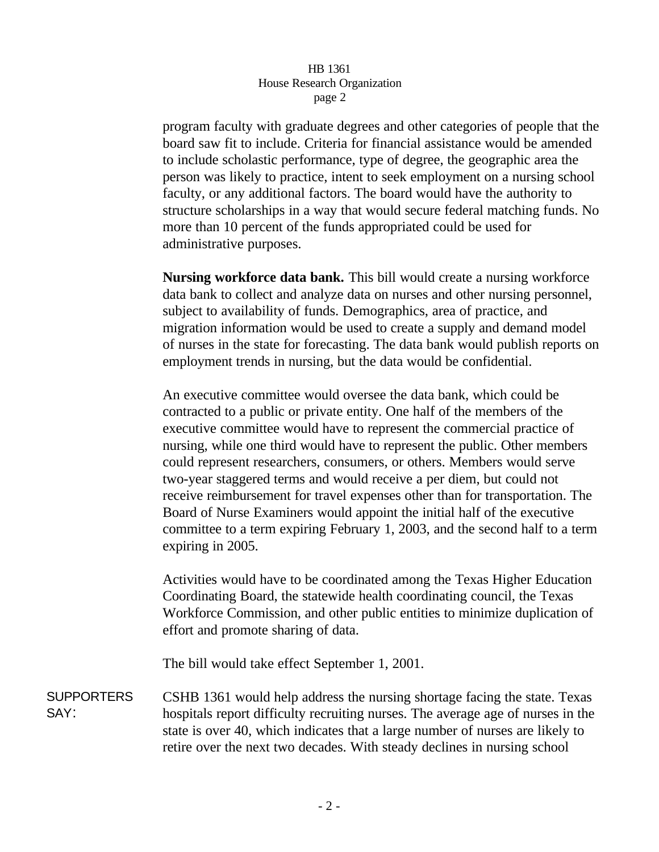## HB 1361 House Research Organization page 2

program faculty with graduate degrees and other categories of people that the board saw fit to include. Criteria for financial assistance would be amended to include scholastic performance, type of degree, the geographic area the person was likely to practice, intent to seek employment on a nursing school faculty, or any additional factors. The board would have the authority to structure scholarships in a way that would secure federal matching funds. No more than 10 percent of the funds appropriated could be used for administrative purposes.

**Nursing workforce data bank.** This bill would create a nursing workforce data bank to collect and analyze data on nurses and other nursing personnel, subject to availability of funds. Demographics, area of practice, and migration information would be used to create a supply and demand model of nurses in the state for forecasting. The data bank would publish reports on employment trends in nursing, but the data would be confidential.

An executive committee would oversee the data bank, which could be contracted to a public or private entity. One half of the members of the executive committee would have to represent the commercial practice of nursing, while one third would have to represent the public. Other members could represent researchers, consumers, or others. Members would serve two-year staggered terms and would receive a per diem, but could not receive reimbursement for travel expenses other than for transportation. The Board of Nurse Examiners would appoint the initial half of the executive committee to a term expiring February 1, 2003, and the second half to a term expiring in 2005.

Activities would have to be coordinated among the Texas Higher Education Coordinating Board, the statewide health coordinating council, the Texas Workforce Commission, and other public entities to minimize duplication of effort and promote sharing of data.

The bill would take effect September 1, 2001.

SUPPORTERS SAY: CSHB 1361 would help address the nursing shortage facing the state. Texas hospitals report difficulty recruiting nurses. The average age of nurses in the state is over 40, which indicates that a large number of nurses are likely to retire over the next two decades. With steady declines in nursing school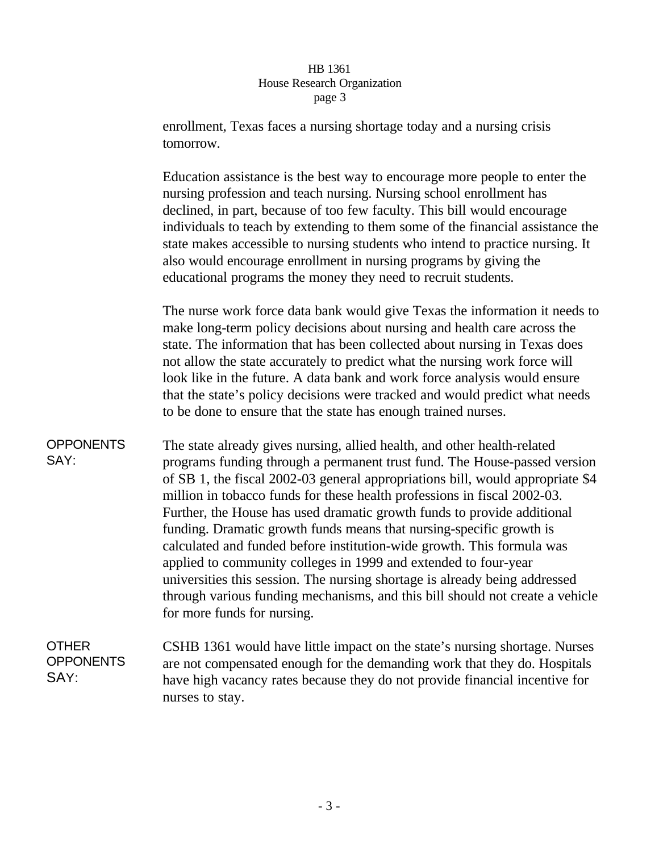## HB 1361 House Research Organization page 3

enrollment, Texas faces a nursing shortage today and a nursing crisis tomorrow.

Education assistance is the best way to encourage more people to enter the nursing profession and teach nursing. Nursing school enrollment has declined, in part, because of too few faculty. This bill would encourage individuals to teach by extending to them some of the financial assistance the state makes accessible to nursing students who intend to practice nursing. It also would encourage enrollment in nursing programs by giving the educational programs the money they need to recruit students.

The nurse work force data bank would give Texas the information it needs to make long-term policy decisions about nursing and health care across the state. The information that has been collected about nursing in Texas does not allow the state accurately to predict what the nursing work force will look like in the future. A data bank and work force analysis would ensure that the state's policy decisions were tracked and would predict what needs to be done to ensure that the state has enough trained nurses.

**OPPONENTS** SAY: The state already gives nursing, allied health, and other health-related programs funding through a permanent trust fund. The House-passed version of SB 1, the fiscal 2002-03 general appropriations bill, would appropriate \$4 million in tobacco funds for these health professions in fiscal 2002-03. Further, the House has used dramatic growth funds to provide additional funding. Dramatic growth funds means that nursing-specific growth is calculated and funded before institution-wide growth. This formula was applied to community colleges in 1999 and extended to four-year universities this session. The nursing shortage is already being addressed through various funding mechanisms, and this bill should not create a vehicle for more funds for nursing.

**OTHER OPPONENTS** SAY: CSHB 1361 would have little impact on the state's nursing shortage. Nurses are not compensated enough for the demanding work that they do. Hospitals have high vacancy rates because they do not provide financial incentive for nurses to stay.